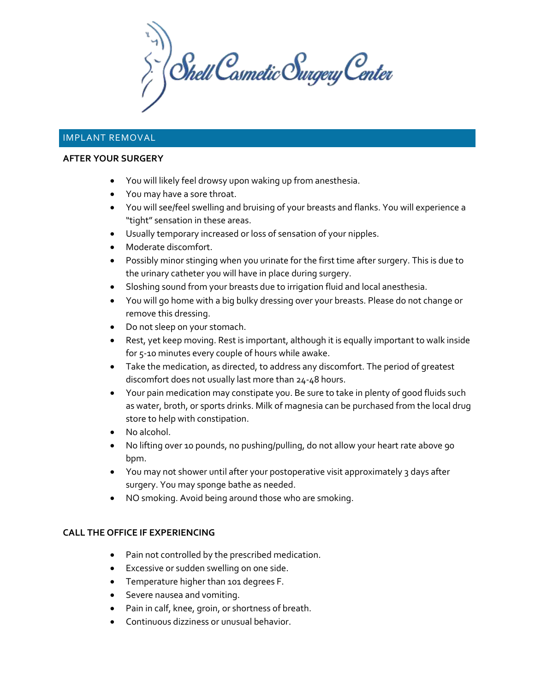$\sum_{i}^{N}$  Shell Cosmetic Surgery Center

# IMPLANT REMOVAL

#### **AFTER YOUR SURGERY**

- You will likely feel drowsy upon waking up from anesthesia.
- You may have a sore throat.
- You will see/feel swelling and bruising of your breasts and flanks. You will experience a "tight" sensation in these areas.
- Usually temporary increased or loss of sensation of your nipples.
- Moderate discomfort.
- Possibly minor stinging when you urinate for the first time after surgery. This is due to the urinary catheter you will have in place during surgery.
- Sloshing sound from your breasts due to irrigation fluid and local anesthesia.
- You will go home with a big bulky dressing over your breasts. Please do not change or remove this dressing.
- Do not sleep on your stomach.
- Rest, yet keep moving. Rest is important, although it is equally important to walk inside for 5-10 minutes every couple of hours while awake.
- Take the medication, as directed, to address any discomfort. The period of greatest discomfort does not usually last more than 24-48 hours.
- Your pain medication may constipate you. Be sure to take in plenty of good fluids such as water, broth, or sports drinks. Milk of magnesia can be purchased from the local drug store to help with constipation.
- No alcohol.
- No lifting over 10 pounds, no pushing/pulling, do not allow your heart rate above 90 bpm.
- You may not shower until after your postoperative visit approximately 3 days after surgery. You may sponge bathe as needed.
- NO smoking. Avoid being around those who are smoking.

## **CALL THE OFFICE IF EXPERIENCING**

- Pain not controlled by the prescribed medication.
- Excessive or sudden swelling on one side.
- Temperature higher than 101 degrees F.
- Severe nausea and vomiting.
- Pain in calf, knee, groin, or shortness of breath.
- Continuous dizziness or unusual behavior.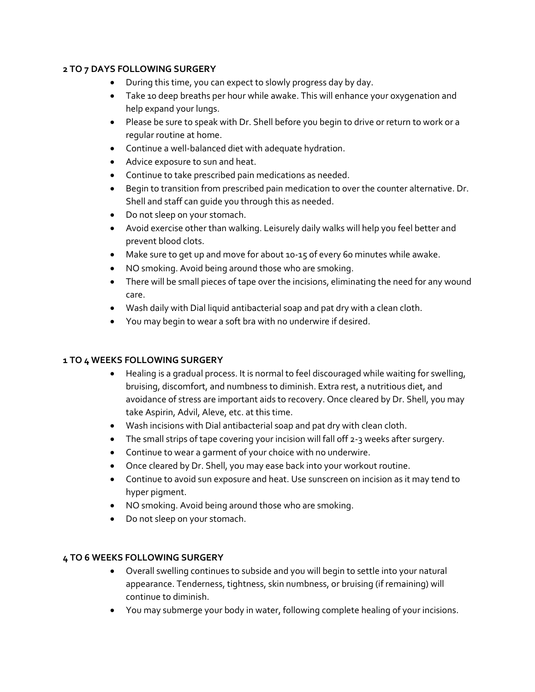## **2 TO 7 DAYS FOLLOWING SURGERY**

- During this time, you can expect to slowly progress day by day.
- Take 10 deep breaths per hour while awake. This will enhance your oxygenation and help expand your lungs.
- Please be sure to speak with Dr. Shell before you begin to drive or return to work or a regular routine at home.
- Continue a well-balanced diet with adequate hydration.
- Advice exposure to sun and heat.
- Continue to take prescribed pain medications as needed.
- Begin to transition from prescribed pain medication to over the counter alternative. Dr. Shell and staff can guide you through this as needed.
- Do not sleep on your stomach.
- Avoid exercise other than walking. Leisurely daily walks will help you feel better and prevent blood clots.
- Make sure to get up and move for about 10-15 of every 60 minutes while awake.
- NO smoking. Avoid being around those who are smoking.
- There will be small pieces of tape over the incisions, eliminating the need for any wound care.
- Wash daily with Dial liquid antibacterial soap and pat dry with a clean cloth.
- You may begin to wear a soft bra with no underwire if desired.

## **1 TO 4 WEEKS FOLLOWING SURGERY**

- Healing is a gradual process. It is normal to feel discouraged while waiting for swelling, bruising, discomfort, and numbness to diminish. Extra rest, a nutritious diet, and avoidance of stress are important aids to recovery. Once cleared by Dr. Shell, you may take Aspirin, Advil, Aleve, etc. at this time.
- Wash incisions with Dial antibacterial soap and pat dry with clean cloth.
- The small strips of tape covering your incision will fall off 2-3 weeks after surgery.
- Continue to wear a garment of your choice with no underwire.
- Once cleared by Dr. Shell, you may ease back into your workout routine.
- Continue to avoid sun exposure and heat. Use sunscreen on incision as it may tend to hyper pigment.
- NO smoking. Avoid being around those who are smoking.
- Do not sleep on your stomach.

## **4 TO 6 WEEKS FOLLOWING SURGERY**

- Overall swelling continues to subside and you will begin to settle into your natural appearance. Tenderness, tightness, skin numbness, or bruising (if remaining) will continue to diminish.
- You may submerge your body in water, following complete healing of your incisions.